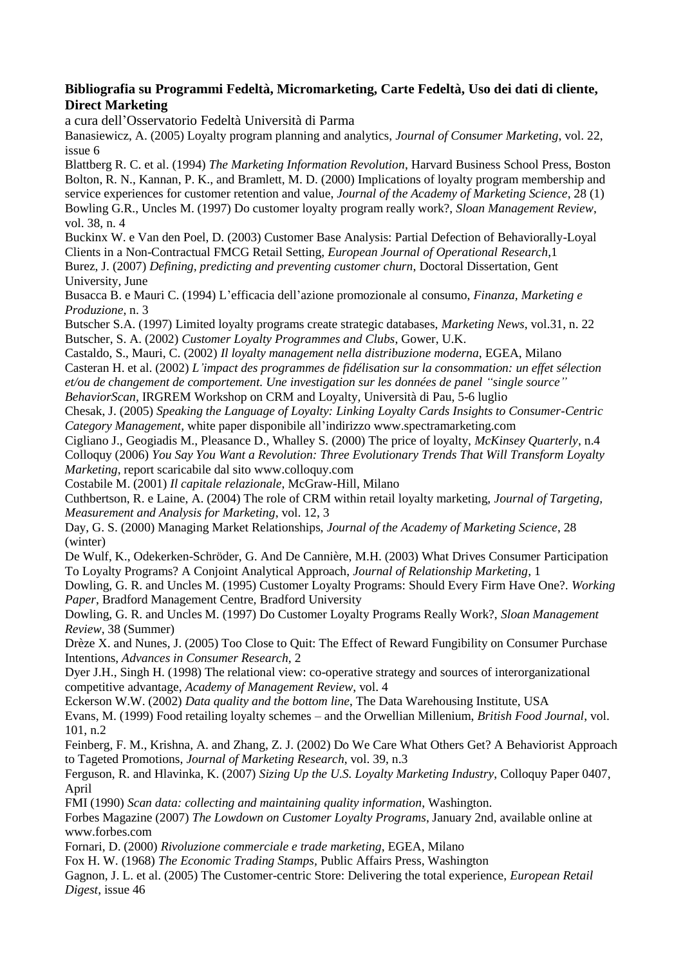## **Bibliografia su Programmi Fedeltà, Micromarketing, Carte Fedeltà, Uso dei dati di cliente, Direct Marketing**

a cura dell'Osservatorio Fedeltà Università di Parma

Banasiewicz, A. (2005) Loyalty program planning and analytics, *Journal of Consumer Marketing*, vol. 22, issue 6

Blattberg R. C. et al. (1994) *The Marketing Information Revolution*, Harvard Business School Press, Boston Bolton, R. N., Kannan, P. K., and Bramlett, M. D. (2000) Implications of loyalty program membership and service experiences for customer retention and value, *Journal of the Academy of Marketing Science*, 28 (1) Bowling G.R., Uncles M. (1997) Do customer loyalty program really work?, *Sloan Management Review*, vol. 38, n. 4

Buckinx W. e Van den Poel, D. (2003) Customer Base Analysis: Partial Defection of Behaviorally-Loyal Clients in a Non-Contractual FMCG Retail Setting, *European Journal of Operational Research*,1 Burez, J. (2007) *Defining, predicting and preventing customer churn*, Doctoral Dissertation, Gent University, June

Busacca B. e Mauri C. (1994) L'efficacia dell'azione promozionale al consumo, *Finanza, Marketing e Produzione*, n. 3

Butscher S.A. (1997) Limited loyalty programs create strategic databases, *Marketing News*, vol.31, n. 22 Butscher, S. A. (2002) *Customer Loyalty Programmes and Clubs*, Gower, U.K.

Castaldo, S., Mauri, C. (2002) *Il loyalty management nella distribuzione moderna*, EGEA, Milano

Casteran H. et al. (2002) *L'impact des programmes de fidélisation sur la consommation: un effet sélection*

*et/ou de changement de comportement. Une investigation sur les données de panel "single source"*

*BehaviorScan,* IRGREM Workshop on CRM and Loyalty*,* Università di Pau, 5-6 luglio

Chesak, J. (2005) *Speaking the Language of Loyalty: Linking Loyalty Cards Insights to Consumer-Centric Category Management*, white paper disponibile all'indirizzo www.spectramarketing.com

Cigliano J., Geogiadis M., Pleasance D., Whalley S. (2000) The price of loyalty, *McKinsey Quarterly*, n.4 Colloquy (2006) *You Say You Want a Revolution: Three Evolutionary Trends That Will Transform Loyalty Marketing*, report scaricabile dal sito www.colloquy.com

Costabile M. (2001) *Il capitale relazionale*, McGraw-Hill, Milano

Cuthbertson, R. e Laine, A. (2004) The role of CRM within retail loyalty marketing, *Journal of Targeting, Measurement and Analysis for Marketing*, vol. 12, 3

Day, G. S. (2000) Managing Market Relationships, *Journal of the Academy of Marketing Science*, 28 (winter)

De Wulf, K., Odekerken-Schröder, G. And De Cannière, M.H. (2003) What Drives Consumer Participation To Loyalty Programs? A Conjoint Analytical Approach, *Journal of Relationship Marketing*, 1

Dowling, G. R. and Uncles M. (1995) Customer Loyalty Programs: Should Every Firm Have One?. *Working Paper*, Bradford Management Centre, Bradford University

Dowling, G. R. and Uncles M. (1997) Do Customer Loyalty Programs Really Work?, *Sloan Management Review*, 38 (Summer)

Drèze X. and Nunes, J. (2005) Too Close to Quit: The Effect of Reward Fungibility on Consumer Purchase Intentions, *Advances in Consumer Research*, 2

Dyer J.H., Singh H. (1998) The relational view: co-operative strategy and sources of interorganizational competitive advantage, *Academy of Management Review*, vol. 4

Eckerson W.W. (2002) *Data quality and the bottom line*, The Data Warehousing Institute, USA

Evans, M. (1999) Food retailing loyalty schemes – and the Orwellian Millenium, *British Food Journal*, vol. 101, n.2

Feinberg, F. M., Krishna, A. and Zhang, Z. J. (2002) Do We Care What Others Get? A Behaviorist Approach to Tageted Promotions, *Journal of Marketing Research*, vol. 39, n.3

Ferguson, R. and Hlavinka, K. (2007) *Sizing Up the U.S. Loyalty Marketing Industry*, Colloquy Paper 0407, April

FMI (1990) *Scan data: collecting and maintaining quality information*, Washington.

Forbes Magazine (2007) *The Lowdown on Customer Loyalty Programs*, January 2nd, available online at www.forbes.com

Fornari, D. (2000) *Rivoluzione commerciale e trade marketing*, EGEA, Milano

Fox H. W. (1968) *The Economic Trading Stamps,* Public Affairs Press, Washington

Gagnon, J. L. et al. (2005) The Customer-centric Store: Delivering the total experience, *European Retail Digest*, issue 46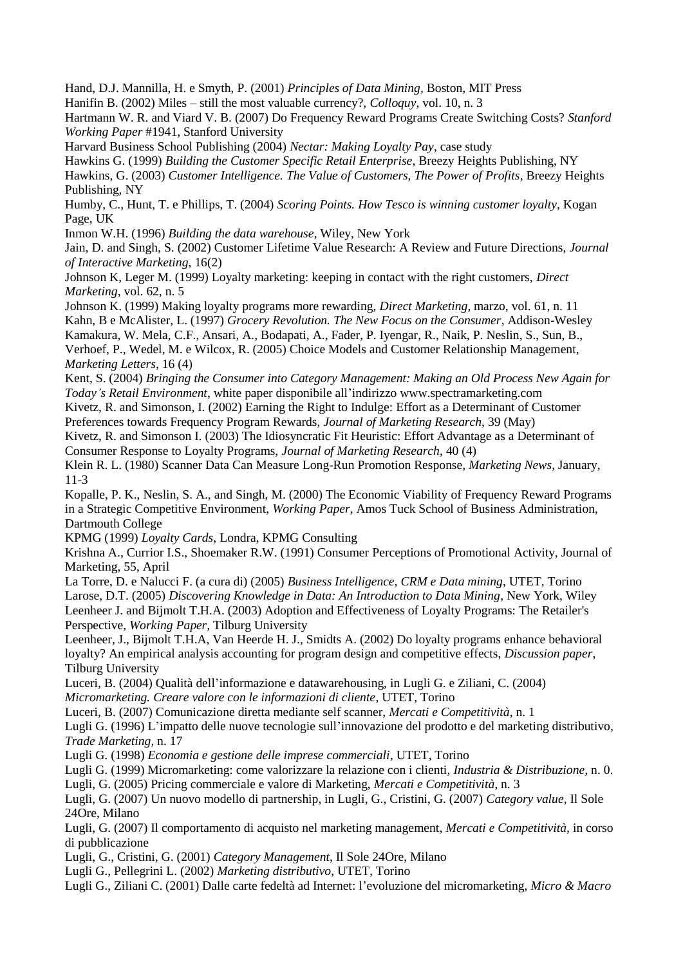Hand, D.J. Mannilla, H. e Smyth, P. (2001) *Principles of Data Mining*, Boston, MIT Press

Hanifin B. (2002) Miles – still the most valuable currency?, *Colloquy*, vol. 10, n. 3

Hartmann W. R. and Viard V. B. (2007) Do Frequency Reward Programs Create Switching Costs? *Stanford Working Paper* #1941, Stanford University

Harvard Business School Publishing (2004) *Nectar: Making Loyalty Pay*, case study

Hawkins G. (1999) *Building the Customer Specific Retail Enterprise*, Breezy Heights Publishing, NY

Hawkins, G. (2003) *Customer Intelligence. The Value of Customers, The Power of Profits*, Breezy Heights Publishing, NY

Humby, C., Hunt, T. e Phillips, T. (2004) *Scoring Points. How Tesco is winning customer loyalty*, Kogan Page, UK

Inmon W.H. (1996) *Building the data warehouse*, Wiley, New York

Jain, D. and Singh, S. (2002) Customer Lifetime Value Research: A Review and Future Directions, *Journal of Interactive Marketing*, 16(2)

Johnson K, Leger M. (1999) Loyalty marketing: keeping in contact with the right customers, *Direct Marketing*, vol. 62, n. 5

Johnson K. (1999) Making loyalty programs more rewarding, *Direct Marketing*, marzo, vol. 61, n. 11 Kahn, B e McAlister, L. (1997) *Grocery Revolution. The New Focus on the Consumer*, Addison-Wesley Kamakura, W. Mela, C.F., Ansari, A., Bodapati, A., Fader, P. Iyengar, R., Naik, P. Neslin, S., Sun, B., Verhoef, P., Wedel, M. e Wilcox, R. (2005) Choice Models and Customer Relationship Management, *Marketing Letters*, 16 (4)

Kent, S. (2004) *Bringing the Consumer into Category Management: Making an Old Process New Again for Today's Retail Environment*, white paper disponibile all'indirizzo www.spectramarketing.com

Kivetz, R. and Simonson, I. (2002) Earning the Right to Indulge: Effort as a Determinant of Customer Preferences towards Frequency Program Rewards, *Journal of Marketing Research*, 39 (May)

Kivetz, R. and Simonson I. (2003) The Idiosyncratic Fit Heuristic: Effort Advantage as a Determinant of Consumer Response to Loyalty Programs, *Journal of Marketing Research*, 40 (4)

Klein R. L. (1980) Scanner Data Can Measure Long-Run Promotion Response*, Marketing News*, January, 11-3

Kopalle, P. K., Neslin, S. A., and Singh, M. (2000) The Economic Viability of Frequency Reward Programs in a Strategic Competitive Environment, *Working Paper*, Amos Tuck School of Business Administration, Dartmouth College

KPMG (1999) *Loyalty Cards*, Londra, KPMG Consulting

Krishna A., Currior I.S., Shoemaker R.W. (1991) Consumer Perceptions of Promotional Activity, Journal of Marketing, 55, April

La Torre, D. e Nalucci F. (a cura di) (2005) *Business Intelligence, CRM e Data mining*, UTET, Torino Larose, D.T. (2005) *Discovering Knowledge in Data: An Introduction to Data Mining*, New York, Wiley Leenheer J. and Bijmolt T.H.A. (2003) Adoption and Effectiveness of Loyalty Programs: The Retailer's Perspective, *Working Paper,* Tilburg University

Leenheer, J., Bijmolt T.H.A, Van Heerde H. J., Smidts A. (2002) Do loyalty programs enhance behavioral loyalty? An empirical analysis accounting for program design and competitive effects, *Discussion paper*, Tilburg University

Luceri, B. (2004) Qualità dell'informazione e datawarehousing, in Lugli G. e Ziliani, C. (2004) *Micromarketing. Creare valore con le informazioni di cliente*, UTET, Torino

Luceri, B. (2007) Comunicazione diretta mediante self scanner, *Mercati e Competitività*, n. 1

Lugli G. (1996) L'impatto delle nuove tecnologie sull'innovazione del prodotto e del marketing distributivo*, Trade Marketing*, n. 17

Lugli G. (1998) *Economia e gestione delle imprese commerciali*, UTET, Torino

Lugli G. (1999) Micromarketing: come valorizzare la relazione con i clienti, *Industria & Distribuzione*, n. 0. Lugli, G. (2005) Pricing commerciale e valore di Marketing, *Mercati e Competitività*, n. 3

Lugli, G. (2007) Un nuovo modello di partnership, in Lugli, G., Cristini, G. (2007) *Category value*, Il Sole 24Ore, Milano

Lugli, G. (2007) Il comportamento di acquisto nel marketing management, *Mercati e Competitività,* in corso di pubblicazione

Lugli, G., Cristini, G. (2001) *Category Management*, Il Sole 24Ore, Milano

Lugli G., Pellegrini L. (2002) *Marketing distributivo*, UTET, Torino

Lugli G., Ziliani C. (2001) Dalle carte fedeltà ad Internet: l'evoluzione del micromarketing, *Micro & Macro*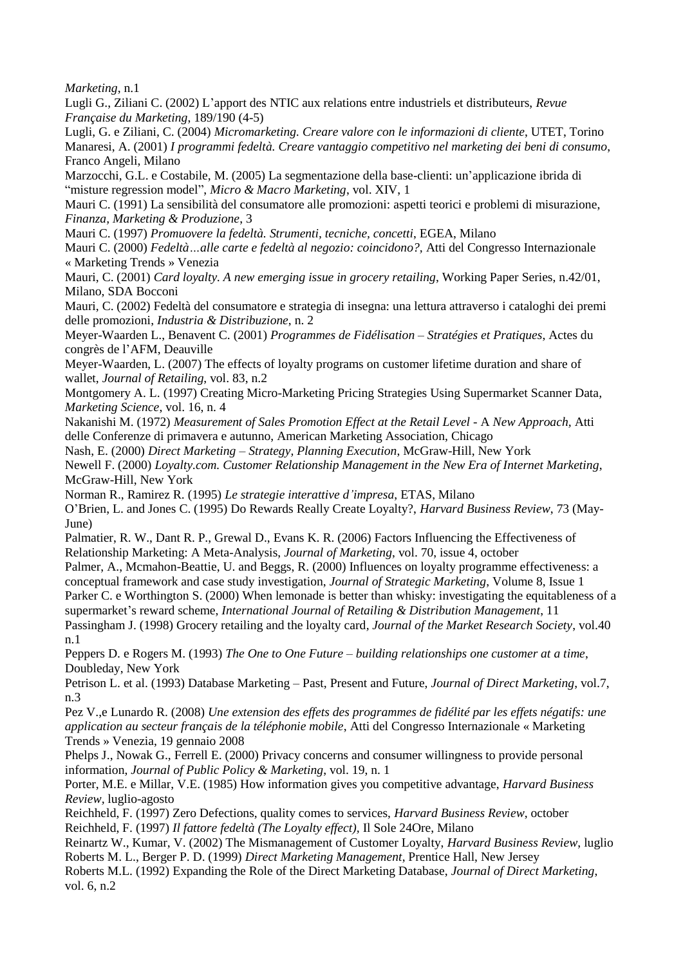*Marketing*, n.1

Lugli G., Ziliani C. (2002) L'apport des NTIC aux relations entre industriels et distributeurs, *Revue Française du Marketing*, 189/190 (4-5)

Lugli, G. e Ziliani, C. (2004) *Micromarketing. Creare valore con le informazioni di cliente*, UTET, Torino Manaresi, A. (2001) *I programmi fedeltà. Creare vantaggio competitivo nel marketing dei beni di consumo*, Franco Angeli, Milano

Marzocchi, G.L. e Costabile, M. (2005) La segmentazione della base-clienti: un'applicazione ibrida di "misture regression model", *Micro & Macro Marketing*, vol. XIV, 1

Mauri C. (1991) La sensibilità del consumatore alle promozioni: aspetti teorici e problemi di misurazione, *Finanza, Marketing & Produzione*, 3

Mauri C. (1997) *Promuovere la fedeltà. Strumenti, tecniche, concetti*, EGEA, Milano

Mauri C. (2000) *Fedeltà…alle carte e fedeltà al negozio: coincidono?,* Atti del Congresso Internazionale « Marketing Trends » Venezia

Mauri, C. (2001) *Card loyalty. A new emerging issue in grocery retailing*, Working Paper Series, n.42/01, Milano, SDA Bocconi

Mauri, C. (2002) Fedeltà del consumatore e strategia di insegna: una lettura attraverso i cataloghi dei premi delle promozioni, *Industria & Distribuzione*, n. 2

Meyer-Waarden L., Benavent C. (2001) *Programmes de Fidélisation – Stratégies et Pratiques*, Actes du congrès de l'AFM, Deauville

Meyer-Waarden, L. (2007) The effects of loyalty programs on customer lifetime duration and share of wallet, *Journal of Retailing*, vol. 83, n.2

Montgomery A. L. (1997) Creating Micro-Marketing Pricing Strategies Using Supermarket Scanner Data*, Marketing Science*, vol. 16, n. 4

Nakanishi M. (1972) *Measurement of Sales Promotion Effect at the Retail Level -* A *New Approach,* Atti delle Conferenze di primavera e autunno, American Marketing Association, Chicago

Nash, E. (2000) *Direct Marketing – Strategy, Planning Execution*, McGraw-Hill, New York Newell F. (2000) *Loyalty.com. Customer Relationship Management in the New Era of Internet Marketing*, McGraw-Hill, New York

Norman R., Ramirez R. (1995) *Le strategie interattive d'impresa*, ETAS, Milano

O'Brien, L. and Jones C. (1995) Do Rewards Really Create Loyalty?, *Harvard Business Review*, 73 (May-June)

Palmatier, R. W., Dant R. P., Grewal D., Evans K. R. (2006) Factors Influencing the Effectiveness of Relationship Marketing: A Meta-Analysis, *Journal of Marketing*, vol. 70, issue 4, october

Palmer, A., Mcmahon-Beattie, U. and Beggs, R. (2000) Influences on loyalty programme effectiveness: a conceptual framework and case study investigation, *Journal of Strategic Marketing*, Volume 8, Issue 1 Parker C. e Worthington S. (2000) When lemonade is better than whisky: investigating the equitableness of a supermarket's reward scheme, *International Journal of Retailing & Distribution Management*, 11 Passingham J. (1998) Grocery retailing and the loyalty card*, Journal of the Market Research Society*, vol.40

n.1

Peppers D. e Rogers M. (1993) *The One to One Future – building relationships one customer at a time*, Doubleday, New York

Petrison L. et al. (1993) Database Marketing – Past, Present and Future, *Journal of Direct Marketing*, vol.7, n.3

Pez V.,e Lunardo R. (2008) *Une extension des effets des programmes de fidélité par les effets négatifs: une application au secteur français de la téléphonie mobile*, Atti del Congresso Internazionale « Marketing Trends » Venezia, 19 gennaio 2008

Phelps J., Nowak G., Ferrell E. (2000) Privacy concerns and consumer willingness to provide personal information, *Journal of Public Policy & Marketing*, vol. 19, n. 1

Porter, M.E. e Millar, V.E. (1985) How information gives you competitive advantage, *Harvard Business Review,* luglio-agosto

Reichheld, F. (1997) Zero Defections, quality comes to services, *Harvard Business Review*, october Reichheld, F. (1997) *Il fattore fedeltà (The Loyalty effect),* Il Sole 24Ore, Milano

Reinartz W., Kumar, V. (2002) The Mismanagement of Customer Loyalty, *Harvard Business Review*, luglio Roberts M. L., Berger P. D. (1999) *Direct Marketing Management*, Prentice Hall, New Jersey

Roberts M.L. (1992) Expanding the Role of the Direct Marketing Database, *Journal of Direct Marketing*, vol. 6, n.2